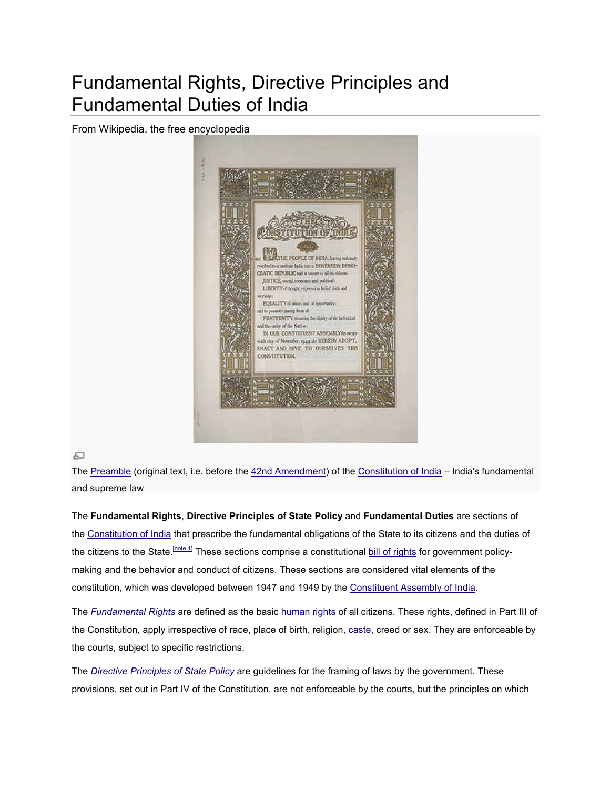# Fundamental Rights, Directive Principles and<br>Fundamental Duties of India Fundamental Duties of India

From Wikipedia, the free encyclopedia



#### 區

The <u>Preamble</u> (original text, i.e. before the <u>42nd Amendment</u>) of the <u>Constitution of India</u> – India's fundamental and supreme law

The **Fundamental Rights**, **Directive Principles of State Policy Principles of**  and **Fundamental Duties** are sections of the <u>Constitution of India</u> that prescribe the fundamental obligations of the State to its citizens and the duties of the citizens to the State.<sup>[note 1]</sup> These sections comprise a constitutional <u>bill of rights</u> for government policy making and the behavior and conduct of citizens. These sections are considered vital elements of the constitution, which was developed between 1947 and 1949 by the Constituent Assembly of India.

The *Fundamental Rights* are defined as the basic <u>human rights</u> of all citizens. These rights, defined in Part III of the Constitution, apply irrespective of race, place of birth, religion, **caste, creed or sex. They are enforceable** by the courts, subject to specific restrictions. specific restrictions. the Constitution, apply irrespective of race, place of birth, religion, <u>caste</u>, creed or sex. They are enforcea<br>the courts, subject to specific restrictions.<br>The <u>Directive Principles of State Policy</u> are guidelines for t to the State.<sup>Indee</sup> If These sections comprise a constitutional <u>bill of rights</u> for government policy-<br>the behavior and conduct of citizens. These sections are considered vital elements of the<br>, which was developed betwe

provisions, set out in Part IV of the Constitution, are not enforceable by the courts, but the principles on which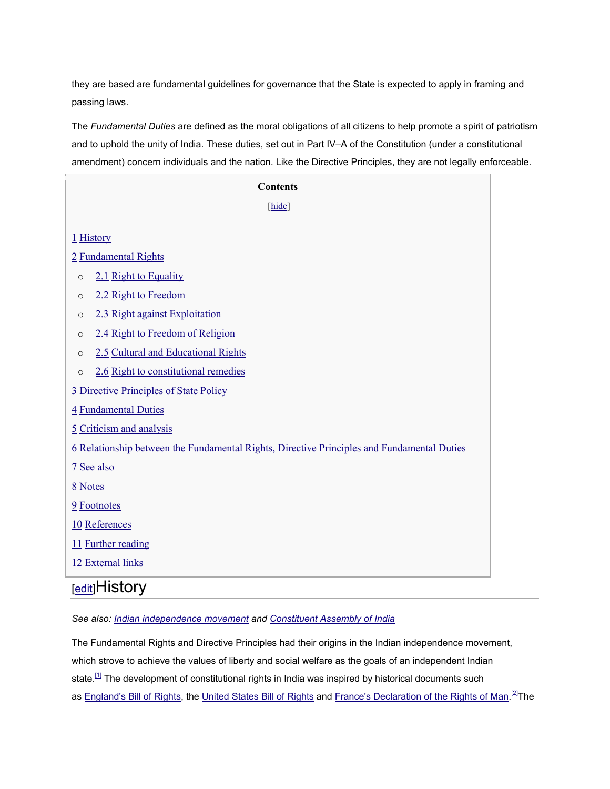they are based are fundamental guidelines for governance that the State is expected to apply in framing and passing laws.

The *Fundamental Duties* are defined as the moral obligations of all citizens to help promote a spirit of patriotism and to uphold the unity of India. These duties, set out in Part IV–A of the Constitution (under a constitutional amendment) concern individuals and the nation. Like the Directive Principles, they are not legally enforceable.

| <b>Contents</b>                                                                                   |
|---------------------------------------------------------------------------------------------------|
| [hide]                                                                                            |
| $1$ History                                                                                       |
| 2 Fundamental Rights                                                                              |
| 2.1 Right to Equality<br>$\circ$                                                                  |
| 2.2 Right to Freedom<br>$\circ$                                                                   |
| 2.3 Right against Exploitation<br>$\circ$                                                         |
| 2.4 Right to Freedom of Religion<br>$\circ$                                                       |
| 2.5 Cultural and Educational Rights<br>$\circ$                                                    |
| 2.6 Right to constitutional remedies<br>$\circ$                                                   |
| <b>3 Directive Principles of State Policy</b>                                                     |
| 4 Fundamental Duties                                                                              |
| 5 Criticism and analysis                                                                          |
| <u>6 Relationship between the Fundamental Rights, Directive Principles and Fundamental Duties</u> |
| 7 See also                                                                                        |
| 8 Notes                                                                                           |
| 9 Footnotes                                                                                       |
| 10 References                                                                                     |
| 11 Further reading                                                                                |
| 12 External links                                                                                 |

### [edit]History

*See also: Indian independence movement and Constituent Assembly of India*

The Fundamental Rights and Directive Principles had their origins in the Indian independence movement, which strove to achieve the values of liberty and social welfare as the goals of an independent Indian state.<sup>[1]</sup> The development of constitutional rights in India was inspired by historical documents such as England's Bill of Rights, the United States Bill of Rights and France's Declaration of the Rights of Man.<sup>[2]</sup>The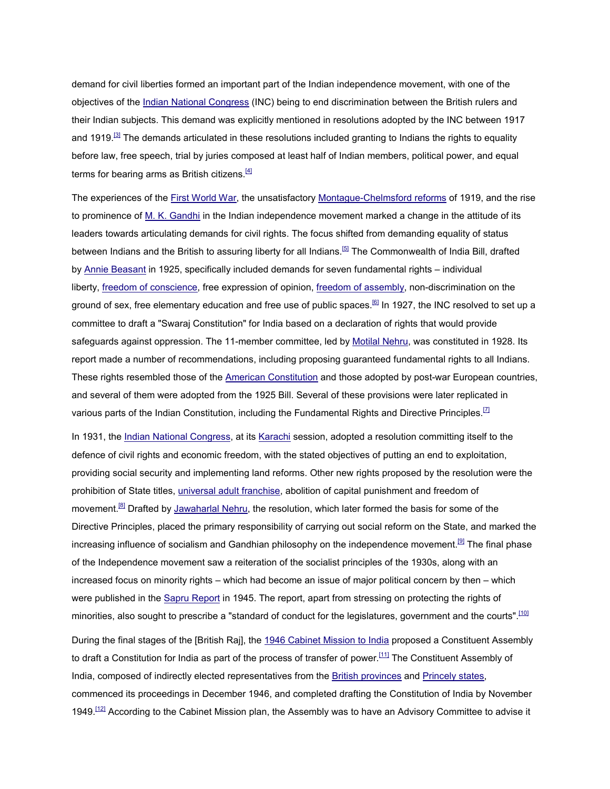demand for civil liberties formed an important part of the Indian independence movement, with one of the objectives of the Indian National Congress (INC) being to end discrimination between the British rulers and their Indian subjects. This demand was explicitly mentioned in resolutions adopted by the INC between 1917 and 1919.<sup>[3]</sup> The demands articulated in these resolutions included granting to Indians the rights to equality before law, free speech, trial by juries composed at least half of Indian members, political power, and equal terms for bearing arms as British citizens. $[4]$ 

The experiences of the First World War, the unsatisfactory Montague-Chelmsford reforms of 1919, and the rise to prominence of M. K. Gandhi in the Indian independence movement marked a change in the attitude of its leaders towards articulating demands for civil rights. The focus shifted from demanding equality of status between Indians and the British to assuring liberty for all Indians.<sup>[5]</sup> The Commonwealth of India Bill, drafted by Annie Beasant in 1925, specifically included demands for seven fundamental rights – individual liberty, freedom of conscience, free expression of opinion, freedom of assembly, non-discrimination on the ground of sex, free elementary education and free use of public spaces.<sup>[6]</sup> In 1927, the INC resolved to set up a committee to draft a "Swaraj Constitution" for India based on a declaration of rights that would provide safeguards against oppression. The 11-member committee, led by Motilal Nehru, was constituted in 1928. Its report made a number of recommendations, including proposing guaranteed fundamental rights to all Indians. These rights resembled those of the American Constitution and those adopted by post-war European countries, and several of them were adopted from the 1925 Bill. Several of these provisions were later replicated in various parts of the Indian Constitution, including the Fundamental Rights and Directive Principles.<sup>[7]</sup>

In 1931, the Indian National Congress, at its Karachi session, adopted a resolution committing itself to the defence of civil rights and economic freedom, with the stated objectives of putting an end to exploitation, providing social security and implementing land reforms. Other new rights proposed by the resolution were the prohibition of State titles, universal adult franchise, abolition of capital punishment and freedom of movement.<sup>[8]</sup> Drafted by Jawaharlal Nehru, the resolution, which later formed the basis for some of the Directive Principles, placed the primary responsibility of carrying out social reform on the State, and marked the increasing influence of socialism and Gandhian philosophy on the independence movement.<sup>[9]</sup> The final phase of the Independence movement saw a reiteration of the socialist principles of the 1930s, along with an increased focus on minority rights – which had become an issue of major political concern by then – which were published in the Sapru Report in 1945. The report, apart from stressing on protecting the rights of minorities, also sought to prescribe a "standard of conduct for the legislatures, government and the courts".<sup>[10]</sup>

During the final stages of the [British Raj], the 1946 Cabinet Mission to India proposed a Constituent Assembly to draft a Constitution for India as part of the process of transfer of power.<sup>[11]</sup> The Constituent Assembly of India, composed of indirectly elected representatives from the British provinces and Princely states, commenced its proceedings in December 1946, and completed drafting the Constitution of India by November 1949.<sup>[12]</sup> According to the Cabinet Mission plan, the Assembly was to have an Advisory Committee to advise it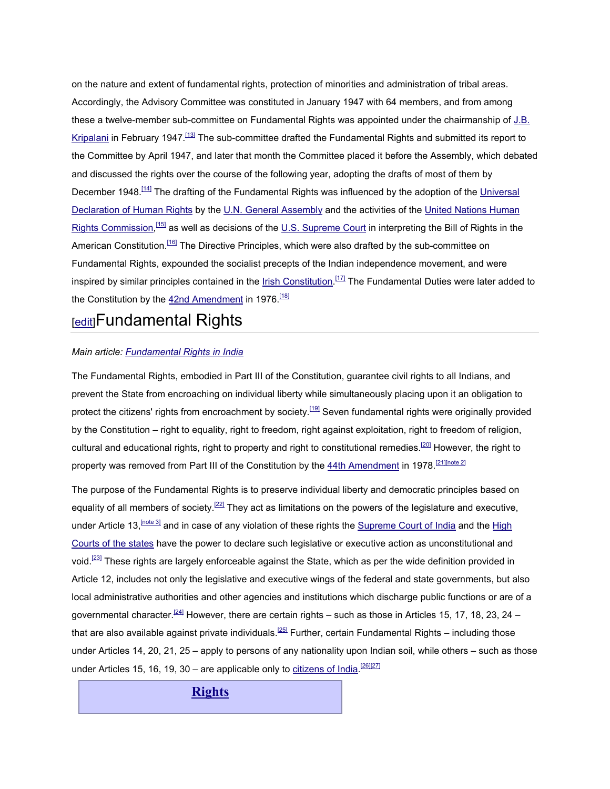on the nature and extent of fundamental rights, protection of minorities and administration of tribal areas. Accordingly, the Advisory Committee was constituted in January 1947 with 64 members, and from among these a twelve-member sub-committee on Fundamental Rights was appointed under the chairmanship of J.B. Kripalani in February 1947.<sup>[13]</sup> The sub-committee drafted the Fundamental Rights and submitted its report to the Committee by April 1947, and later that month the Committee placed it before the Assembly, which debated and discussed the rights over the course of the following year, adopting the drafts of most of them by December 1948.<sup>[14]</sup> The drafting of the Fundamental Rights was influenced by the adoption of the Universal Declaration of Human Rights by the U.N. General Assembly and the activities of the United Nations Human Rights Commission, <sup>[15]</sup> as well as decisions of the <u>U.S. Supreme Court</u> in interpreting the Bill of Rights in the American Constitution.<sup>[16]</sup> The Directive Principles, which were also drafted by the sub-committee on Fundamental Rights, expounded the socialist precepts of the Indian independence movement, and were inspired by similar principles contained in the <u>Irish Constitution.<sup>[17]</sup></u> The Fundamental Duties were later added to the Constitution by the 42nd Amendment in 1976.<sup>[18]</sup>

### **[edit]Fundamental Rights**

#### *Main article: Fundamental Rights in India*

The Fundamental Rights, embodied in Part III of the Constitution, guarantee civil rights to all Indians, and prevent the State from encroaching on individual liberty while simultaneously placing upon it an obligation to protect the citizens' rights from encroachment by society.<sup>[19]</sup> Seven fundamental rights were originally provided by the Constitution – right to equality, right to freedom, right against exploitation, right to freedom of religion, cultural and educational rights, right to property and right to constitutional remedies.<sup>[20]</sup> However, the right to property was removed from Part III of the Constitution by the 44th Amendment in 1978.<sup>[21][note 2]</sup>

The purpose of the Fundamental Rights is to preserve individual liberty and democratic principles based on equality of all members of society.<sup>[22]</sup> They act as limitations on the powers of the legislature and executive, under Article 13,  $[notesed]$  and in case of any violation of these rights the Supreme Court of India and the High Courts of the states have the power to declare such legislative or executive action as unconstitutional and void.<sup>[23]</sup> These rights are largely enforceable against the State, which as per the wide definition provided in Article 12, includes not only the legislative and executive wings of the federal and state governments, but also local administrative authorities and other agencies and institutions which discharge public functions or are of a governmental character.<sup>[24]</sup> However, there are certain rights – such as those in Articles 15, 17, 18, 23, 24 – that are also available against private individuals.<sup>[25]</sup> Further, certain Fundamental Rights – including those under Articles 14, 20, 21, 25 – apply to persons of any nationality upon Indian soil, while others – such as those under Articles 15, 16, 19, 30 – are applicable only to citizens of India.<sup>[26][27]</sup>

**Rights**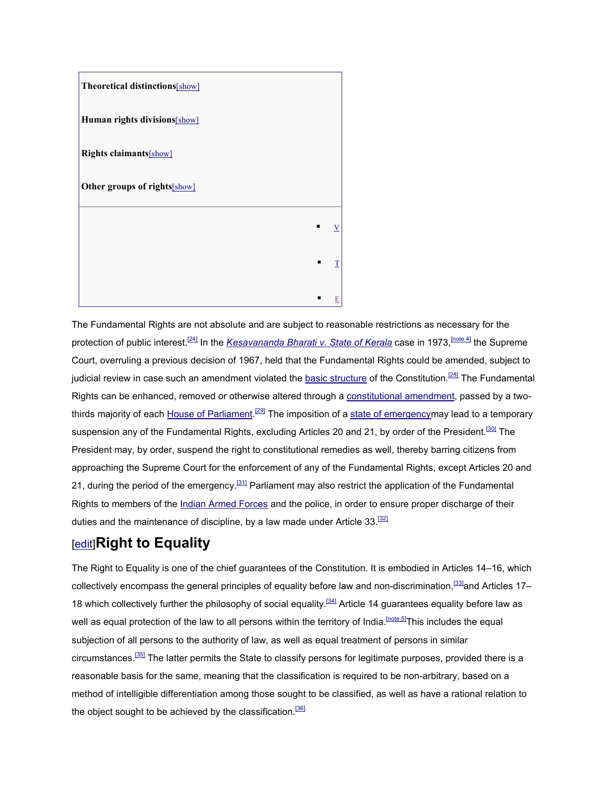

The Fundamental Rights are not absolute and are subject to reasonable restrictions as necessary for the protection of public interest.<sup>[24]</sup> In the *Kesavananda Bharati v. State of Kerala* case in 1973, <sup>[note 4]</sup> the Supreme Court, overruling a previous decision of 1967, held that the Fundamental Rights could be amended, subject to judicial review in case such an amendment violated the basic structure of the Constitution.<sup>[28]</sup> The Fundamental Rights can be enhanced, removed or otherwise altered through a constitutional amendment, passed by a twothirds majority of each House of Parliament.<sup>[29]</sup> The imposition of a state of emergencymay lead to a temporary suspension any of the Fundamental Rights, excluding Articles 20 and 21, by order of the President.<sup>[30]</sup> The President may, by order, suspend the right to constitutional remedies as well, thereby barring citizens from approaching the Supreme Court for the enforcement of any of the Fundamental Rights, except Articles 20 and 21, during the period of the emergency.<sup>[31]</sup> Parliament may also restrict the application of the Fundamental Rights to members of the Indian Armed Forces and the police, in order to ensure proper discharge of their duties and the maintenance of discipline, by a law made under Article  $33$ .<sup>[32]</sup>

### [edit]**Right to Equality**

The Right to Equality is one of the chief guarantees of the Constitution. It is embodied in Articles 14–16, which collectively encompass the general principles of equality before law and non-discrimination,<sup>[33]</sup>and Articles 17– 18 which collectively further the philosophy of social equality.<sup>[34]</sup> Article 14 guarantees equality before law as well as equal protection of the law to all persons within the territory of India.<sup>[note 5]</sup>This includes the equal subjection of all persons to the authority of law, as well as equal treatment of persons in similar circumstances.[35] The latter permits the State to classify persons for legitimate purposes, provided there is a reasonable basis for the same, meaning that the classification is required to be non-arbitrary, based on a method of intelligible differentiation among those sought to be classified, as well as have a rational relation to the object sought to be achieved by the classification.<sup>[36]</sup>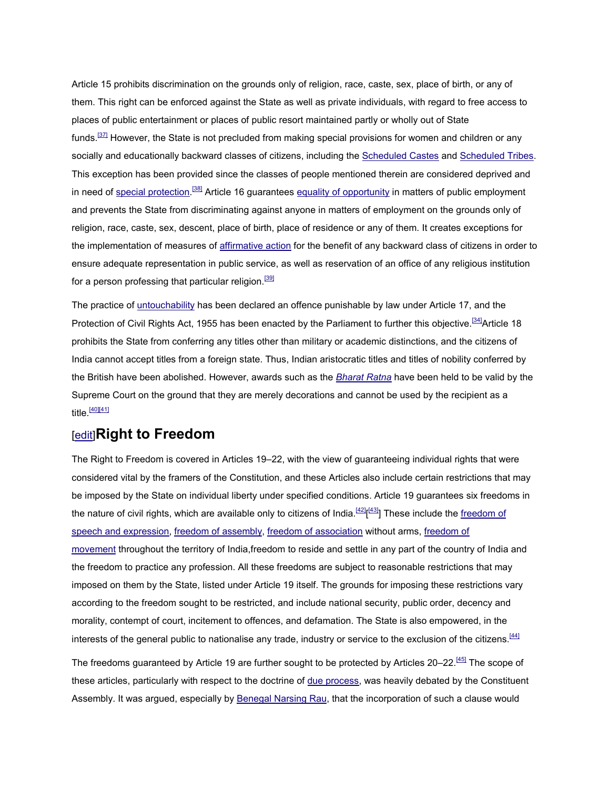Article 15 prohibits discrimination on the grounds only of religion, race, caste, sex, place of birth, or any of them. This right can be enforced against the State as well as private individuals, with regard to free access to places of public entertainment or places of public resort maintained partly or wholly out of State funds.<sup>[37]</sup> However, the State is not precluded from making special provisions for women and children or any socially and educationally backward classes of citizens, including the Scheduled Castes and Scheduled Tribes. This exception has been provided since the classes of people mentioned therein are considered deprived and in need of special protection.<sup>[38]</sup> Article 16 guarantees equality of opportunity in matters of public employment and prevents the State from discriminating against anyone in matters of employment on the grounds only of religion, race, caste, sex, descent, place of birth, place of residence or any of them. It creates exceptions for the implementation of measures of affirmative action for the benefit of any backward class of citizens in order to ensure adequate representation in public service, as well as reservation of an office of any religious institution for a person professing that particular religion.<sup>[39]</sup>

The practice of untouchability has been declared an offence punishable by law under Article 17, and the Protection of Civil Rights Act, 1955 has been enacted by the Parliament to further this objective.<sup>[34]</sup>Article 18 prohibits the State from conferring any titles other than military or academic distinctions, and the citizens of India cannot accept titles from a foreign state. Thus, Indian aristocratic titles and titles of nobility conferred by the British have been abolished. However, awards such as the *Bharat Ratna* have been held to be valid by the Supreme Court on the ground that they are merely decorations and cannot be used by the recipient as a  $title.$ <sup>[40][41]</sup>

### [edit]**Right to Freedom**

The Right to Freedom is covered in Articles 19–22, with the view of guaranteeing individual rights that were considered vital by the framers of the Constitution, and these Articles also include certain restrictions that may be imposed by the State on individual liberty under specified conditions. Article 19 guarantees six freedoms in the nature of civil rights, which are available only to citizens of India.<sup>[42]</sup>[<sup>43]</sup>] These include the freedom of speech and expression, freedom of assembly, freedom of association without arms, freedom of movement throughout the territory of India,freedom to reside and settle in any part of the country of India and the freedom to practice any profession. All these freedoms are subject to reasonable restrictions that may imposed on them by the State, listed under Article 19 itself. The grounds for imposing these restrictions vary according to the freedom sought to be restricted, and include national security, public order, decency and morality, contempt of court, incitement to offences, and defamation. The State is also empowered, in the interests of the general public to nationalise any trade, industry or service to the exclusion of the citizens.<sup>[44]</sup>

The freedoms guaranteed by Article 19 are further sought to be protected by Articles 20–22.<sup>[45]</sup> The scope of these articles, particularly with respect to the doctrine of due process, was heavily debated by the Constituent Assembly. It was argued, especially by Benegal Narsing Rau, that the incorporation of such a clause would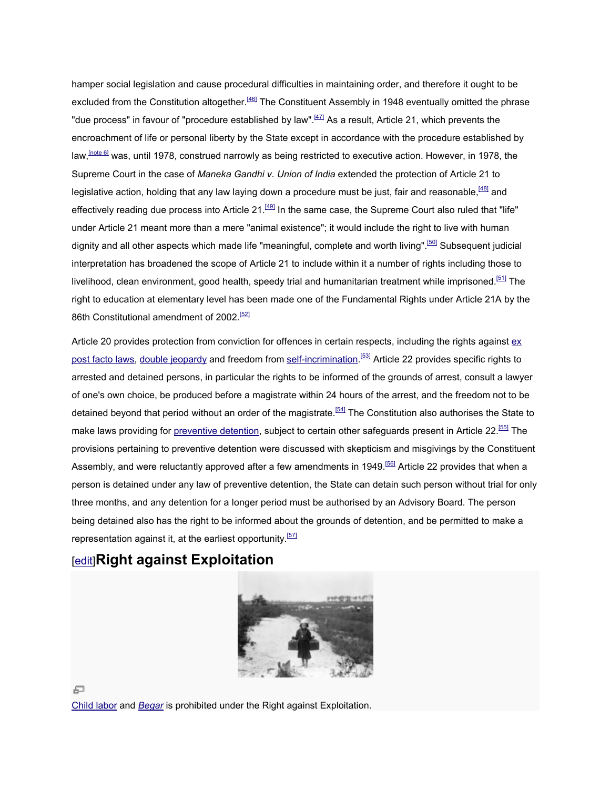hamper social legislation and cause procedural difficulties in maintaining order, and therefore it ought to be excluded from the Constitution altogether.<sup>[46]</sup> The Constituent Assembly in 1948 eventually omitted the phrase "due process" in favour of "procedure established by law". $^{[47]}$  As a result, Article 21, which prevents the encroachment of life or personal liberty by the State except in accordance with the procedure established by law,<sup>[note 6]</sup> was, until 1978, construed narrowly as being restricted to executive action. However, in 1978, the Supreme Court in the case of *Maneka Gandhi v. Union of India* extended the protection of Article 21 to legislative action, holding that any law laying down a procedure must be just, fair and reasonable, legislative action, effectively reading due process into Article 21.<sup>[49]</sup> In the same case, the Supreme Court also ruled that "life" under Article 21 meant more than a mere "animal existence"; it would include the right to live with human under Article 21 meant more than a mere "animal existence"; it would include the right to live with human<br>dignity and all other aspects which made life "meaningful, complete and worth living".<sup>[50]</sup> Subsequent judicial interpretation has broadened the scope of Article 21 to include within it a number of rights including those to livelihood, clean environment, good health, speedy trial and humanitarian treatment while imprisoned. right to education at elementary level has been made one of the Fundamental Rights under Article 21A by the 86th Constitutional amendment of 2002.<sup>[52]</sup> pretation has broadened the scope of Article 21 to include within it a number<br>nood, clean environment, good health, speedy trial and humanitarian treatme<br>to education at elementary level has been made one of the Fundamenta  $\frac{[51]}{[51]}$  The

Article 20 provides protection from conviction for offences in certain respects, including the rights against <u>ex</u> post facto laws, double jeopardy and freedom from self-incrimination.<sup>[53]</sup> Article 22 provides specific rights to arrested and detained persons, in particular the rights to be informed of the grounds of arrest, consult a lawyer of one's own choice, be produced before a magistrate within 24 hours of the arrest, and the freedom not to be of one's own choice, be produced before a magistrate within 24 hours of the arrest, and the freedom not to be<br>detained beyond that period without an order of the magistrate.<sup>[54]</sup> The Constitution also authorises the State make laws providing for <u>preventive detention</u>, subject to certain other safeguards present in Article 22.<sup>[55]</sup> The provisions pertaining to preventive detention were discussed with skepticism and misgivings by the Constituent provisions pertaining to preventive detention were discussed with skepticism and misgivings by the Constituer<br>Assembly, and were reluctantly approved after a few amendments in 1949.<sup>[56]</sup> Article 22 provides that when a person is detained under any law of preventive detention, the State can detain such person without trial for only person is detained under any law of preventive detention, the State can detain such person without trial for<br>three months, and any detention for a longer period must be authorised by an Advisory Board. The person being detained also has the right to be informed about the grounds of detention, and be permitted to make a representation against it, at the earliest opportunity.<sup>[57]</sup> ersonal liberty by the State except in accordance with the procedure established constructed and marrowly as being restricted to executive accination (browers, in 1978, the set of Mareka Gandhiv. Union of India extended th

### [edit]**Right against Exploitation**



Child labor and *Begar* is prohibited under the Right against Exploitation.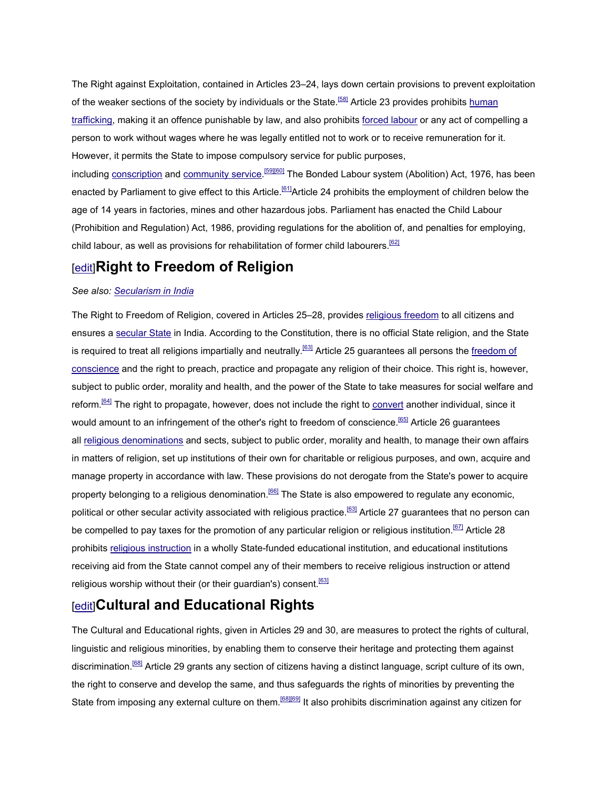The Right against Exploitation, contained in Articles 23–24, lays down certain provisions to prevent exploitation of the weaker sections of the society by individuals or the State.<sup>[58]</sup> Article 23 provides prohibits human trafficking, making it an offence punishable by law, and also prohibits forced labour or any act of compelling a person to work without wages where he was legally entitled not to work or to receive remuneration for it. However, it permits the State to impose compulsory service for public purposes,

including <u>conscription</u> and <u>community service.<sup>[59][60]</mark> The Bonded Labour system (Abolition) Act, 1976, has been</u></sup> enacted by Parliament to give effect to this Article.<sup>[61]</sup>Article 24 prohibits the employment of children below the age of 14 years in factories, mines and other hazardous jobs. Parliament has enacted the Child Labour (Prohibition and Regulation) Act, 1986, providing regulations for the abolition of, and penalties for employing, child labour, as well as provisions for rehabilitation of former child labourers.<sup>[62]</sup>

### [edit]**Right to Freedom of Religion**

### *See also: Secularism in India*

The Right to Freedom of Religion, covered in Articles 25–28, provides religious freedom to all citizens and ensures a secular State in India. According to the Constitution, there is no official State religion, and the State is required to treat all religions impartially and neutrally.<sup>[63]</sup> Article 25 guarantees all persons the freedom of conscience and the right to preach, practice and propagate any religion of their choice. This right is, however, subject to public order, morality and health, and the power of the State to take measures for social welfare and reform.[64] The right to propagate, however, does not include the right to convert another individual, since it would amount to an infringement of the other's right to freedom of conscience.<sup>[65]</sup> Article 26 guarantees all religious denominations and sects, subject to public order, morality and health, to manage their own affairs in matters of religion, set up institutions of their own for charitable or religious purposes, and own, acquire and manage property in accordance with law. These provisions do not derogate from the State's power to acquire property belonging to a religious denomination.<sup>[66]</sup> The State is also empowered to regulate any economic, political or other secular activity associated with religious practice.[63] Article 27 guarantees that no person can be compelled to pay taxes for the promotion of any particular religion or religious institution.<sup>[67]</sup> Article 28 prohibits religious instruction in a wholly State-funded educational institution, and educational institutions receiving aid from the State cannot compel any of their members to receive religious instruction or attend religious worship without their (or their guardian's) consent.<sup>[63]</sup>

### [edit]**Cultural and Educational Rights**

The Cultural and Educational rights, given in Articles 29 and 30, are measures to protect the rights of cultural, linguistic and religious minorities, by enabling them to conserve their heritage and protecting them against discrimination.[68] Article 29 grants any section of citizens having a distinct language, script culture of its own, the right to conserve and develop the same, and thus safeguards the rights of minorities by preventing the State from imposing any external culture on them.<sup>[68][69]</sup> It also prohibits discrimination against any citizen for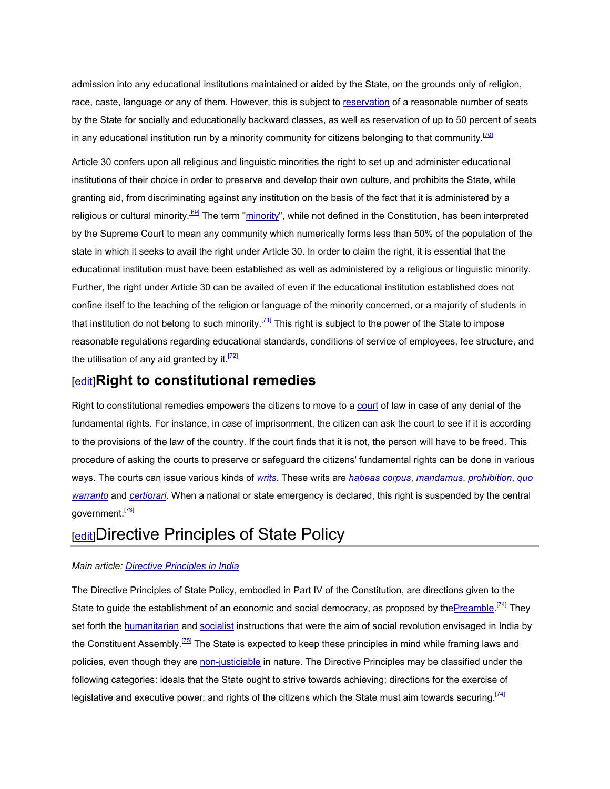admission into any educational institutions maintained or aided by the State, on the grounds only of religion, race, caste, language or any of them. However, this is subject to reservation of a reasonable number of seats by the State for socially and educationally backward classes, as well as reservation of up to 50 percent of seats in any educational institution run by a minority community for citizens belonging to that community.<sup>[70]</sup>

Article 30 confers upon all religious and linguistic minorities the right to set up and administer educational institutions of their choice in order to preserve and develop their own culture, and prohibits the State, while granting aid, from discriminating against any institution on the basis of the fact that it is administered by a religious or cultural minority.<sup>[69]</sup> The term "minority", while not defined in the Constitution, has been interpreted by the Supreme Court to mean any community which numerically forms less than 50% of the population of the state in which it seeks to avail the right under Article 30. In order to claim the right, it is essential that the educational institution must have been established as well as administered by a religious or linguistic minority. Further, the right under Article 30 can be availed of even if the educational institution established does not confine itself to the teaching of the religion or language of the minority concerned, or a majority of students in that institution do not belong to such minority.<sup>[71]</sup> This right is subject to the power of the State to impose reasonable regulations regarding educational standards, conditions of service of employees, fee structure, and the utilisation of any aid granted by it.<sup>[72]</sup>

### [edit]**Right to constitutional remedies**

Right to constitutional remedies empowers the citizens to move to a court of law in case of any denial of the fundamental rights. For instance, in case of imprisonment, the citizen can ask the court to see if it is according to the provisions of the law of the country. If the court finds that it is not, the person will have to be freed. This procedure of asking the courts to preserve or safeguard the citizens' fundamental rights can be done in various ways. The courts can issue various kinds of *writs*. These writs are *habeas corpus*, *mandamus*, *prohibition*, *quo warranto* and *certiorari*. When a national or state emergency is declared, this right is suspended by the central government.<sup>[73]</sup>

### **[edit]Directive Principles of State Policy**

#### *Main article: Directive Principles in India*

The Directive Principles of State Policy, embodied in Part IV of the Constitution, are directions given to the State to guide the establishment of an economic and social democracy, as proposed by the Preamble.<sup>[74]</sup> They set forth the humanitarian and socialist instructions that were the aim of social revolution envisaged in India by the Constituent Assembly.<sup>[75]</sup> The State is expected to keep these principles in mind while framing laws and policies, even though they are non-justiciable in nature. The Directive Principles may be classified under the following categories: ideals that the State ought to strive towards achieving; directions for the exercise of legislative and executive power; and rights of the citizens which the State must aim towards securing. $[74]$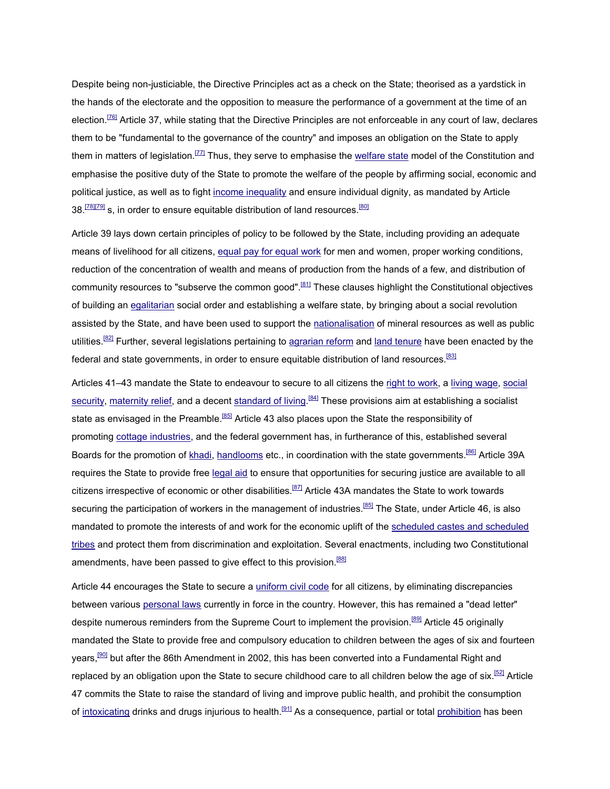Despite being non-justiciable, the Directive Principles act as a check on the State; theorised as a yardstick in the hands of the electorate and the opposition to measure the performance of a government at the time of an election.<sup>[76]</sup> Article 37, while stating that the Directive Principles are not enforceable in any court of law, declares them to be "fundamental to the governance of the country" and imposes an obligation on the State to apply them in matters of legislation.<sup>[77]</sup> Thus, they serve to emphasise the welfare state model of the Constitution and emphasise the positive duty of the State to promote the welfare of the people by affirming social, economic and political justice, as well as to fight income inequality and ensure individual dignity, as mandated by Article  $38.$ <sup>[78][79]</sup> s, in order to ensure equitable distribution of land resources.<sup>[80]</sup>

Article 39 lays down certain principles of policy to be followed by the State, including providing an adequate means of livelihood for all citizens, equal pay for equal work for men and women, proper working conditions, reduction of the concentration of wealth and means of production from the hands of a few, and distribution of community resources to "subserve the common good".<sup>[81]</sup> These clauses highlight the Constitutional objectives of building an egalitarian social order and establishing a welfare state, by bringing about a social revolution assisted by the State, and have been used to support the nationalisation of mineral resources as well as public utilities.<sup>[82]</sup> Further, several legislations pertaining to agrarian reform and land tenure have been enacted by the federal and state governments, in order to ensure equitable distribution of land resources.[83]

Articles 41–43 mandate the State to endeavour to secure to all citizens the right to work, a living wage, social security, maternity relief, and a decent standard of living.<sup>[84]</sup> These provisions aim at establishing a socialist state as envisaged in the Preamble.<sup>[85]</sup> Article 43 also places upon the State the responsibility of promoting cottage industries, and the federal government has, in furtherance of this, established several Boards for the promotion of khadi, handlooms etc., in coordination with the state governments.<sup>[86]</sup> Article 39A requires the State to provide free legal aid to ensure that opportunities for securing justice are available to all citizens irrespective of economic or other disabilities.<sup>[87]</sup> Article 43A mandates the State to work towards securing the participation of workers in the management of industries.<sup>[85]</sup> The State, under Article 46, is also mandated to promote the interests of and work for the economic uplift of the scheduled castes and scheduled tribes and protect them from discrimination and exploitation. Several enactments, including two Constitutional amendments, have been passed to give effect to this provision.<sup>[88]</sup>

Article 44 encourages the State to secure a uniform civil code for all citizens, by eliminating discrepancies between various personal laws currently in force in the country. However, this has remained a "dead letter" despite numerous reminders from the Supreme Court to implement the provision.<sup>[89]</sup> Article 45 originally mandated the State to provide free and compulsory education to children between the ages of six and fourteen years,<sup>[90]</sup> but after the 86th Amendment in 2002, this has been converted into a Fundamental Right and replaced by an obligation upon the State to secure childhood care to all children below the age of six.<sup>[52]</sup> Article 47 commits the State to raise the standard of living and improve public health, and prohibit the consumption of intoxicating drinks and drugs injurious to health.<sup>[91]</sup> As a consequence, partial or total prohibition has been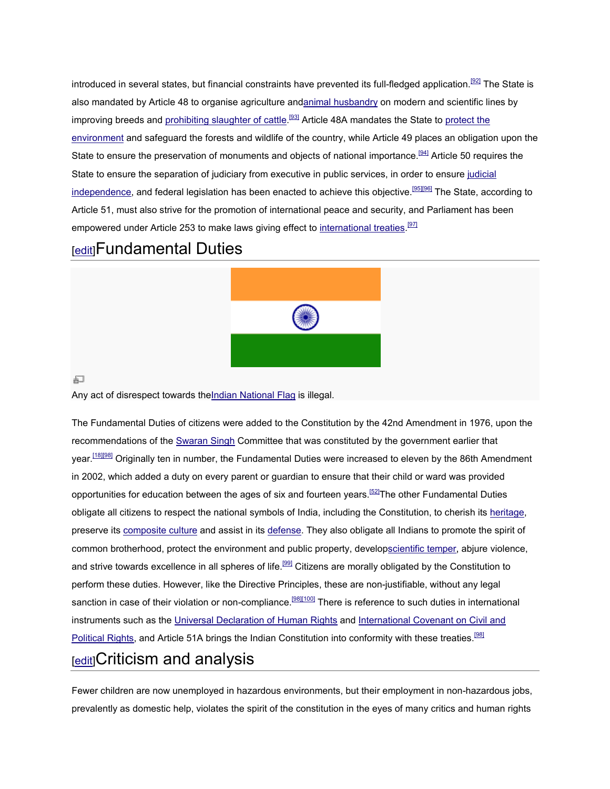introduced in several states, but financial constraints have prevented its full-fledged application. also mandated by Article 48 to organise agriculture and<u>animal husbandry</u> on modern and scientific lines by improving breeds and <u>prohibiting slaughter of cattle.<sup>[93]</sup></u> Article 48A mandates the State to <u>protect the</u> environment and safeguard the forests and wildlife of the country, while Article 49 places an obligation upon the <u>environment</u> and safeguard the forests and wildlife of the country, while Article 49 places an obligation upon i<br>State to ensure the preservation of monuments and objects of national importance.<sup>[94]</sup> Article 50 requires State to ensure the separation of judiciary from executive in public services, in order to ensure judicial independence, and federal legislation has been enacted to achieve this objective.<sup>[95][96]</sup> The State, according to Article 51, must also strive for the promotion of international peace and security, and Parliament has been empowered under Article 253 to make laws giving effect to international treaties.<sup>[97]</sup>

### [edit]Fundamental Duties



Any act of disrespect towards the<u>Indian National Flag</u> is illegal.

The Fundamental Duties of citizens were added to the Constitution by the 42nd Amendment in 1976, upon the recommendations of the <u>Swaran Singh</u> Committee that was constituted by the government earlier that year.<sup>[18][98]</sup> Originally ten in number, the Fundamental Duties were increased to eleven by the 86th Amendment in 2002, which added a duty on every parent or guardian to ensure that their child or ward was provided opportunities for education between the ages of six and fourteen years.<sup>[52]</sup>The other Fundamental Duties obligate all citizens to respect the national symbols of India, including the Constitution, to cherish its heritage, obligate all citizens to respect the national symbols of India, including the Constitution, to cherish its <u>heritage,</u><br>preserve its <u>composite culture</u> and assist in its <u>defense</u>. They also obligate all Indians to promote common brotherhood, protect the environment and public property, developscientific temper, abjure violence, and strive towards excellence in all spheres of life.<sup>[99]</sup> Citizens are morally obligated by the Constitution to perform these duties. However, like the Directive Principles, these are non these are non-justifiable, without any legal sanction in case of their violation or non-compliance.<sup>[98][100]</sup> There is reference to such duties in international instruments such as the Universal Declaration of Human Rights and International Covenant on Civil and Political Rights, and Article 51A brings the Indian Constitution into conformity with these treaties. introduced in several states but financed constants have preventes its full-fielighte application. <sup>22</sup> The State is the State is the State is the State is the State is the State is the State is the State is the State is t defense. They also obligate all Indians to promote the defense. They also obligate all Indians to promote the<br>and public property, develop<u>scientific temper</u>, abjure<br>ife.<sup>[98]</sup> Citizens are morally obligated by the Constit

### [edit]Criticism and analysis

Fewer children are now unemployed in hazardous environments, but their employment in non-hazardous jobs, prevalently as domestic help, violates the spirit of the constitution in the eyes of many critics and human rights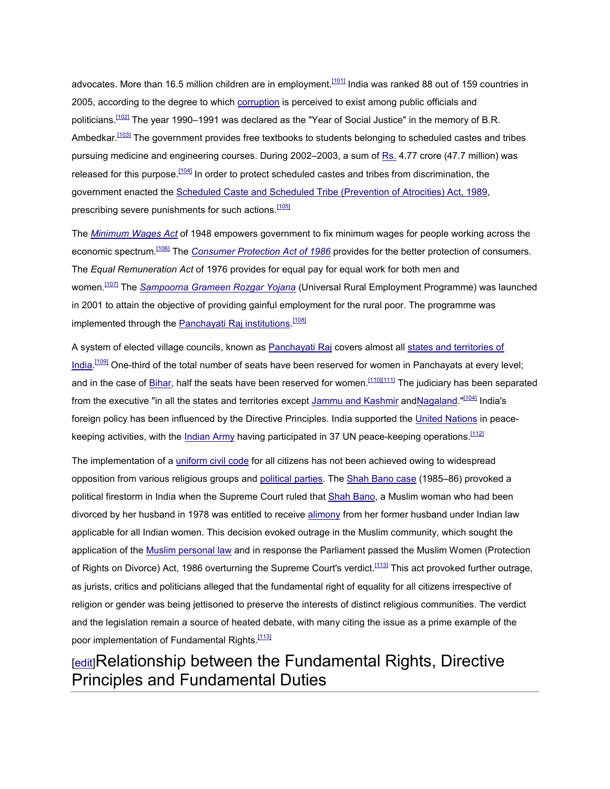advocates. More than 16.5 million children are in employment.<sup>[101]</sup> India was ranked 88 out of 159 countries in 2005, according to the degree to which corruption is perceived to exist among public officials and politicians.<sup>[102]</sup> The year 1990–1991 was declared as the "Year of Social Justice" in the memory of B.R. Ambedkar.<sup>[103]</sup> The government provides free textbooks to students belonging to scheduled castes and tribes pursuing medicine and engineering courses. During 2002–2003, a sum of Rs. 4.77 crore (47.7 million) was released for this purpose.<sup>[104]</sup> In order to protect scheduled castes and tribes from discrimination, the government enacted the Scheduled Caste and Scheduled Tribe (Prevention of Atrocities) Act, 1989, prescribing severe punishments for such actions.<sup>[105]</sup>

The *Minimum Wages Act* of 1948 empowers government to fix minimum wages for people working across the economic spectrum.[106] The *Consumer Protection Act of 1986* provides for the better protection of consumers. The *Equal Remuneration Act* of 1976 provides for equal pay for equal work for both men and women.[107] The *Sampoorna Grameen Rozgar Yojana* (Universal Rural Employment Programme) was launched in 2001 to attain the objective of providing gainful employment for the rural poor. The programme was implemented through the <u>Panchayati Raj institutions <sup>[108]</sup></u>

A system of elected village councils, known as Panchayati Raj covers almost all states and territories of India.<sup>[109]</sup> One-third of the total number of seats have been reserved for women in Panchayats at every level; and in the case of Bihar, half the seats have been reserved for women.<sup>[110][111]</sup> The judiciary has been separated from the executive "in all the states and territories except Jammu and Kashmir andNagaland."[104] India's foreign policy has been influenced by the Directive Principles. India supported the United Nations in peacekeeping activities, with the Indian Army having participated in 37 UN peace-keeping operations.<sup>[112]</sup>

The implementation of a uniform civil code for all citizens has not been achieved owing to widespread opposition from various religious groups and political parties. The Shah Bano case (1985–86) provoked a political firestorm in India when the Supreme Court ruled that Shah Bano, a Muslim woman who had been divorced by her husband in 1978 was entitled to receive alimony from her former husband under Indian law applicable for all Indian women. This decision evoked outrage in the Muslim community, which sought the application of the Muslim personal law and in response the Parliament passed the Muslim Women (Protection of Rights on Divorce) Act, 1986 overturning the Supreme Court's verdict.<sup>[113]</sup> This act provoked further outrage, as jurists, critics and politicians alleged that the fundamental right of equality for all citizens irrespective of religion or gender was being jettisoned to preserve the interests of distinct religious communities. The verdict and the legislation remain a source of heated debate, with many citing the issue as a prime example of the poor implementation of Fundamental Rights.<sup>[113]</sup>

## [edit]Relationship between the Fundamental Rights, Directive Principles and Fundamental Duties